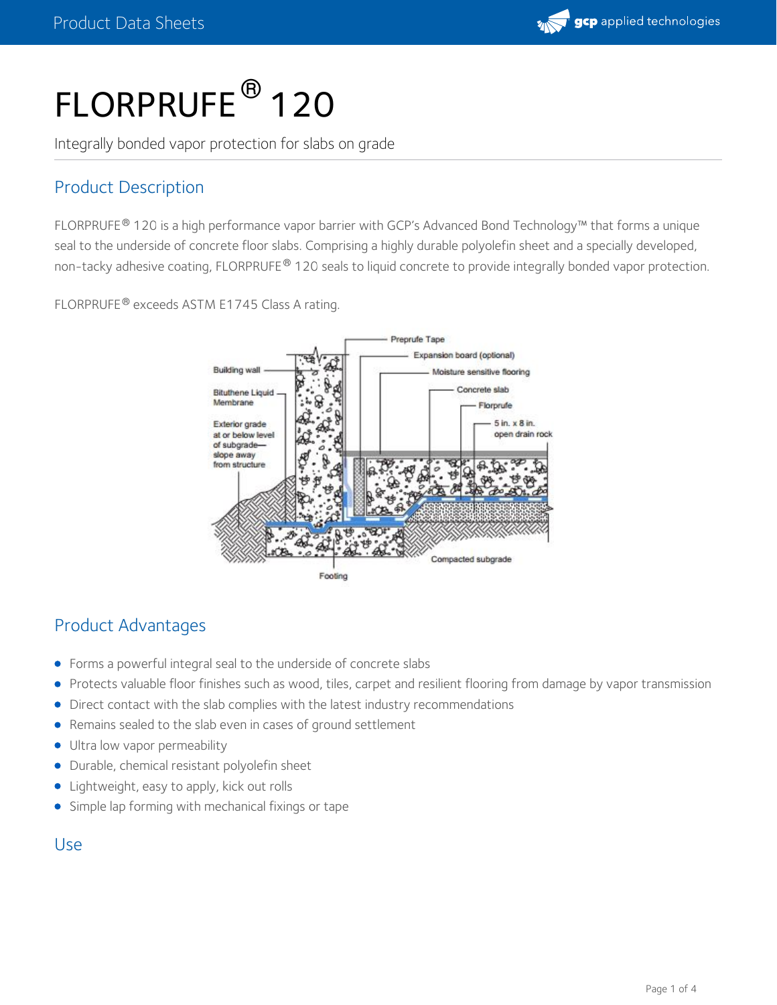

# FLORPRUFE<sup>®</sup> 120

Integrally bonded vapor protection for slabs on grade

# Product Description

FLORPRUFE® 120 is a high performance vapor barrier with GCP's Advanced Bond Technology™ that forms a unique seal to the underside of concrete floor slabs. Comprising a highly durable polyolefin sheet and a specially developed, non-tacky adhesive coating, FLORPRUFE® 120 seals to liquid concrete to provide integrally bonded vapor protection.

FLORPRUFE® exceeds ASTM E1745 Class A rating.



## Product Advantages

- Forms a powerful integral seal to the underside of concrete slabs
- Protects valuable floor finishes such as wood, tiles, carpet and resilient flooring from damage by vapor transmission  $\bullet$
- Direct contact with the slab complies with the latest industry recommendations
- Remains sealed to the slab even in cases of ground settlement  $\bullet$
- Ultra low vapor permeability
- Durable, chemical resistant polyolefin sheet
- Lightweight, easy to apply, kick out rolls
- **Simple lap forming with mechanical fixings or tape**

### Use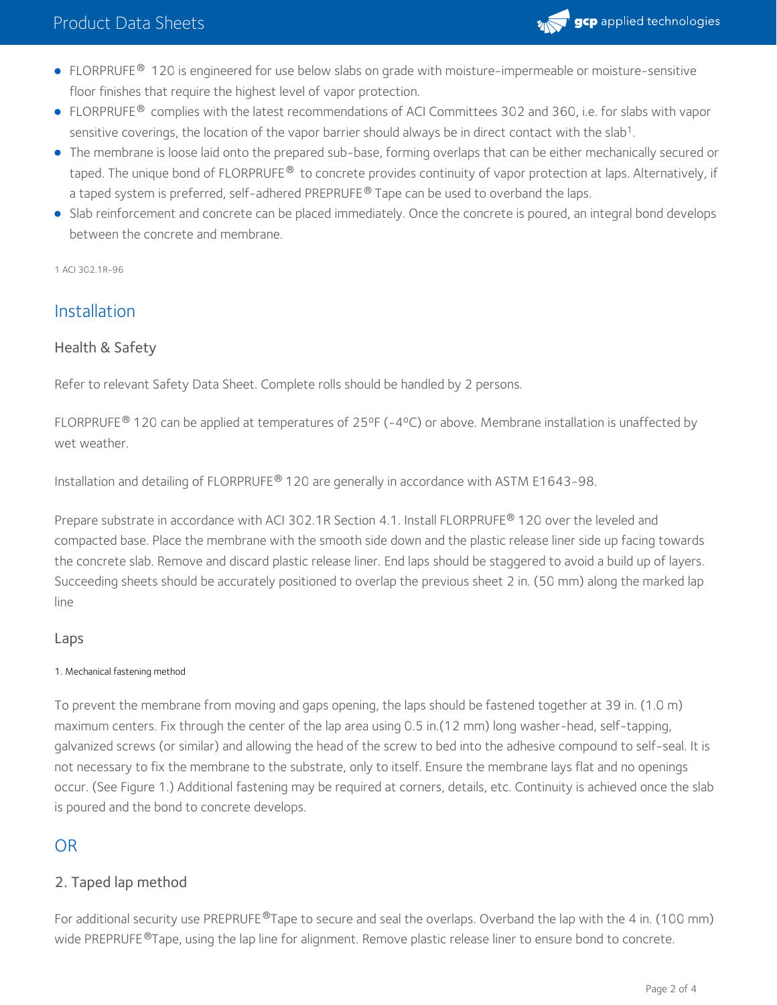

- <code>FLORPRUFE® 120</code> is engineered for use below slabs on grade with moisture-impermeable or moisture-sensitive floor finishes that require the highest level of vapor protection.
- <code>FLORPRUFE®</code> complies with the latest recommendations of ACI Committees 302 and 360, i.e. for slabs with vapor sensitive coverings, the location of the vapor barrier should always be in direct contact with the slab<sup>1</sup>.
- The membrane is loose laid onto the prepared sub-base, forming overlaps that can be either mechanically secured or taped. The unique bond of FLORPRUFE® to concrete provides continuity of vapor protection at laps. Alternatively, if a taped system is preferred, self-adhered PREPRUFE® Tape can be used to overband the laps.
- Slab reinforcement and concrete can be placed immediately. Once the concrete is poured, an integral bond develops between the concrete and membrane.

1 ACI 302.1R-96

## Installation

#### Health & Safety

Refer to relevant Safety Data Sheet. Complete rolls should be handled by 2 persons.

FLORPRUFE® 120 can be applied at temperatures of 25°F (-4°C) or above. Membrane installation is unaffected by wet weather

Installation and detailing of FLORPRUFE® 120 are generally in accordance with ASTM E1643-98.

Prepare substrate in accordance with ACI 302.1R Section 4.1. Install FLORPRUFE® 120 over the leveled and compacted base. Place the membrane with the smooth side down and the plastic release liner side up facing towards the concrete slab. Remove and discard plastic release liner. End laps should be staggered to avoid a build up of layers. Succeeding sheets should be accurately positioned to overlap the previous sheet 2 in. (50 mm) along the marked lap line

#### Laps

#### 1. Mechanical fastening method

To prevent the membrane from moving and gaps opening, the laps should be fastened together at 39 in. (1.0 m) maximum centers. Fix through the center of the lap area using 0.5 in.(12 mm) long washer-head, self-tapping, galvanized screws (or similar) and allowing the head of the screw to bed into the adhesive compound to self-seal. It is not necessary to fix the membrane to the substrate, only to itself. Ensure the membrane lays flat and no openings occur. (See Figure 1.) Additional fastening may be required at corners, details, etc. Continuity is achieved once the slab is poured and the bond to concrete develops.

### OR

#### 2. Taped lap method

For additional security use PREPRUFE®Tape to secure and seal the overlaps. Overband the lap with the 4 in. (100 mm) wide PREPRUFE ®Tape, using the lap line for alignment. Remove plastic release liner to ensure bond to concrete.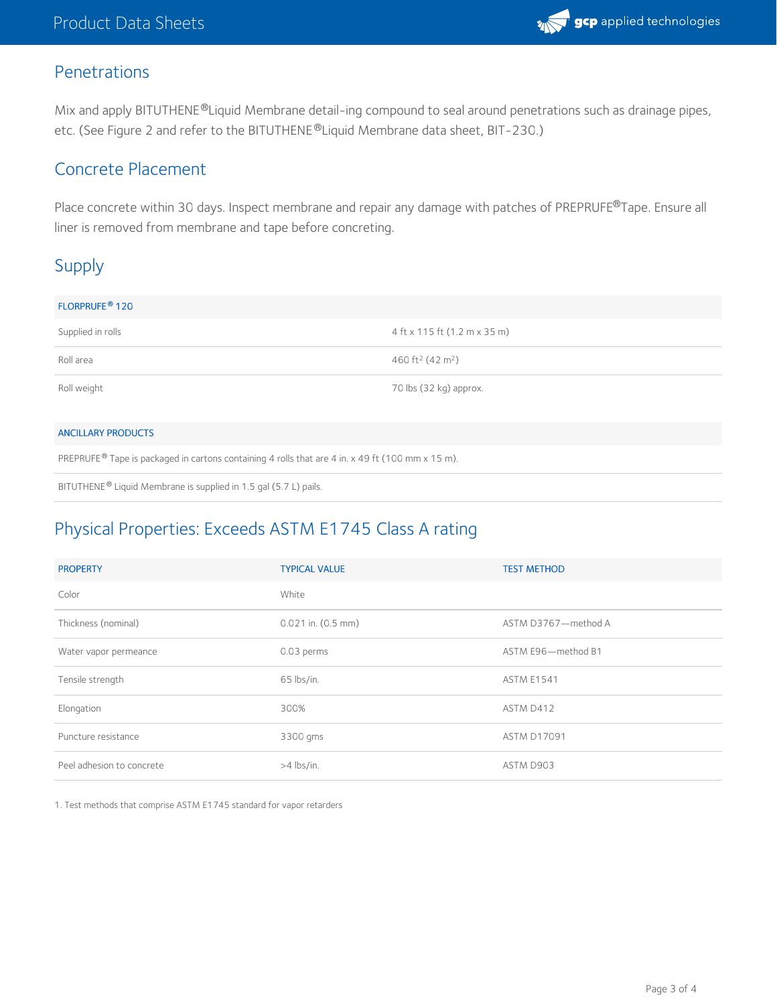

## Penetrations

Mix and apply BITUTHENE®Liquid Membrane detail-ing compound to seal around penetrations such as drainage pipes, etc. (See Figure 2 and refer to the BITUTHENE®Liquid Membrane data sheet, BIT-230.)

### Concrete Placement

Place concrete within 30 days. Inspect membrane and repair any damage with patches of PREPRUFE®Tape. Ensure all liner is removed from membrane and tape before concreting.

# Supply

| FLORPRUFE <sup>®</sup> 120 |                                          |
|----------------------------|------------------------------------------|
| Supplied in rolls          | 4 ft x 115 ft (1.2 m x 35 m)             |
| Roll area                  | 460 ft <sup>2</sup> (42 m <sup>2</sup> ) |
| Roll weight                | 70 lbs (32 kg) approx.                   |
|                            |                                          |

#### ANCILLARY PRODUCTS

PREPRUFE® Tape is packaged in cartons containing 4 rolls that are 4 in. x 49 ft (100 mm x 15 m).

BITUTHENE® Liquid Membrane is supplied in 1.5 gal (5.7 L) pails.

# Physical Properties: Exceeds ASTM E1745 Class A rating

| <b>PROPERTY</b>           | <b>TYPICAL VALUE</b>   | <b>TEST METHOD</b>  |
|---------------------------|------------------------|---------------------|
| Color                     | White                  |                     |
| Thickness (nominal)       | $0.021$ in. $(0.5$ mm) | ASTM D3767-method A |
| Water vapor permeance     | 0.03 perms             | ASTM E96-method B1  |
| Tensile strength          | 65 lbs/in.             | <b>ASTM E1541</b>   |
| Elongation                | 300%                   | ASTM D412           |
| Puncture resistance       | 3300 gms               | <b>ASTM D17091</b>  |
| Peel adhesion to concrete | $>4$ lbs/in.           | ASTM D903           |

1. Test methods that comprise ASTM E1745 standard for vapor retarders